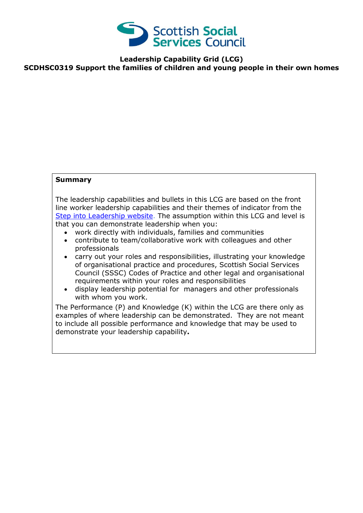

**Leadership Capability Grid (LCG)**

**SCDHSC0319 Support the families of children and young people in their own homes**

## **Summary**

The leadership capabilities and bullets in this LCG are based on the front line worker leadership capabilities and their themes of indicator from the [Step into Leadership website.](http://www.stepintoleadership.info/) The assumption within this LCG and level is that you can demonstrate leadership when you:

- work directly with individuals, families and communities
- contribute to team/collaborative work with colleagues and other professionals
- carry out your roles and responsibilities, illustrating your knowledge of organisational practice and procedures, Scottish Social Services Council (SSSC) Codes of Practice and other legal and organisational requirements within your roles and responsibilities
- display leadership potential for managers and other professionals with whom you work.

The Performance (P) and Knowledge (K) within the LCG are there only as examples of where leadership can be demonstrated. They are not meant to include all possible performance and knowledge that may be used to demonstrate your leadership capability**.**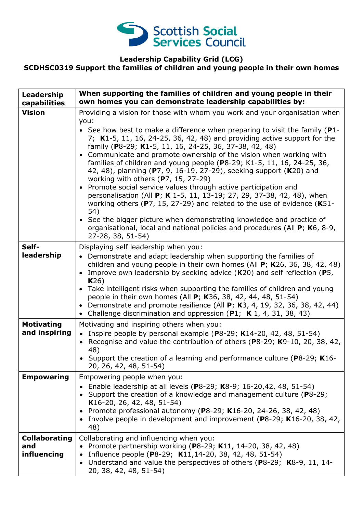

## **Leadership Capability Grid (LCG) SCDHSC0319 Support the families of children and young people in their own homes**

| Leadership<br>capabilities                 | When supporting the families of children and young people in their<br>own homes you can demonstrate leadership capabilities by:                                                                                                                                                                                                                                                                                                                                                                                                                                                                                                                                                                                                                                                                                                                                                                                                                                                                |
|--------------------------------------------|------------------------------------------------------------------------------------------------------------------------------------------------------------------------------------------------------------------------------------------------------------------------------------------------------------------------------------------------------------------------------------------------------------------------------------------------------------------------------------------------------------------------------------------------------------------------------------------------------------------------------------------------------------------------------------------------------------------------------------------------------------------------------------------------------------------------------------------------------------------------------------------------------------------------------------------------------------------------------------------------|
| <b>Vision</b>                              | Providing a vision for those with whom you work and your organisation when<br>you:<br>• See how best to make a difference when preparing to visit the family ( $P1$ -<br>7; K1-5, 11, 16, 24-25, 36, 42, 48) and providing active support for the<br>family (P8-29; K1-5, 11, 16, 24-25, 36, 37-38, 42, 48)<br>• Communicate and promote ownership of the vision when working with<br>families of children and young people (P8-29; K1-5, 11, 16, 24-25, 36,<br>42, 48), planning (P7, 9, 16-19, 27-29), seeking support (K20) and<br>working with others (P7, 15, 27-29)<br>• Promote social service values through active participation and<br>personalisation (All P; K 1-5, 11, 13-19; 27, 29, 37-38, 42, 48), when<br>working others ( $P$ 7, 15, 27-29) and related to the use of evidence ( $K$ 51-<br>54)<br>• See the bigger picture when demonstrating knowledge and practice of<br>organisational, local and national policies and procedures (All P; K6, 8-9,<br>27-28, 38, 51-54) |
| Self-<br>leadership                        | Displaying self leadership when you:<br>• Demonstrate and adapt leadership when supporting the families of<br>children and young people in their own homes (All $P$ ; K26, 36, 38, 42, 48)<br>• Improve own leadership by seeking advice $(K20)$ and self reflection (P5,<br>K26)<br>• Take intelligent risks when supporting the families of children and young<br>people in their own homes (All P; K36, 38, 42, 44, 48, 51-54)<br>• Demonstrate and promote resilience (All $P$ ; K3, 4, 19, 32, 36, 38, 42, 44)<br>• Challenge discrimination and oppression (P1; K 1, 4, 31, 38, 43)                                                                                                                                                                                                                                                                                                                                                                                                      |
| <b>Motivating</b><br>and inspiring         | Motivating and inspiring others when you:<br>• Inspire people by personal example (P8-29; K14-20, 42, 48, 51-54)<br>Recognise and value the contribution of others (P8-29; K9-10, 20, 38, 42,<br>$\bullet$<br>48)<br>Support the creation of a learning and performance culture (P8-29; K16-<br>20, 26, 42, 48, 51-54)                                                                                                                                                                                                                                                                                                                                                                                                                                                                                                                                                                                                                                                                         |
| <b>Empowering</b>                          | Empowering people when you:<br>Enable leadership at all levels (P8-29; K8-9; 16-20,42, 48, 51-54)<br>Support the creation of a knowledge and management culture (P8-29;<br>K16-20, 26, 42, 48, 51-54)<br>Promote professional autonomy (P8-29; K16-20, 24-26, 38, 42, 48)<br>$\bullet$<br>Involve people in development and improvement (P8-29; K16-20, 38, 42,<br>48)                                                                                                                                                                                                                                                                                                                                                                                                                                                                                                                                                                                                                         |
| <b>Collaborating</b><br>and<br>influencing | Collaborating and influencing when you:<br>Promote partnership working (P8-29; K11, 14-20, 38, 42, 48)<br>Influence people (P8-29; K11,14-20, 38, 42, 48, 51-54)<br>$\bullet$<br>Understand and value the perspectives of others (P8-29; K8-9, 11, 14-<br>$\bullet$<br>20, 38, 42, 48, 51-54)                                                                                                                                                                                                                                                                                                                                                                                                                                                                                                                                                                                                                                                                                                  |